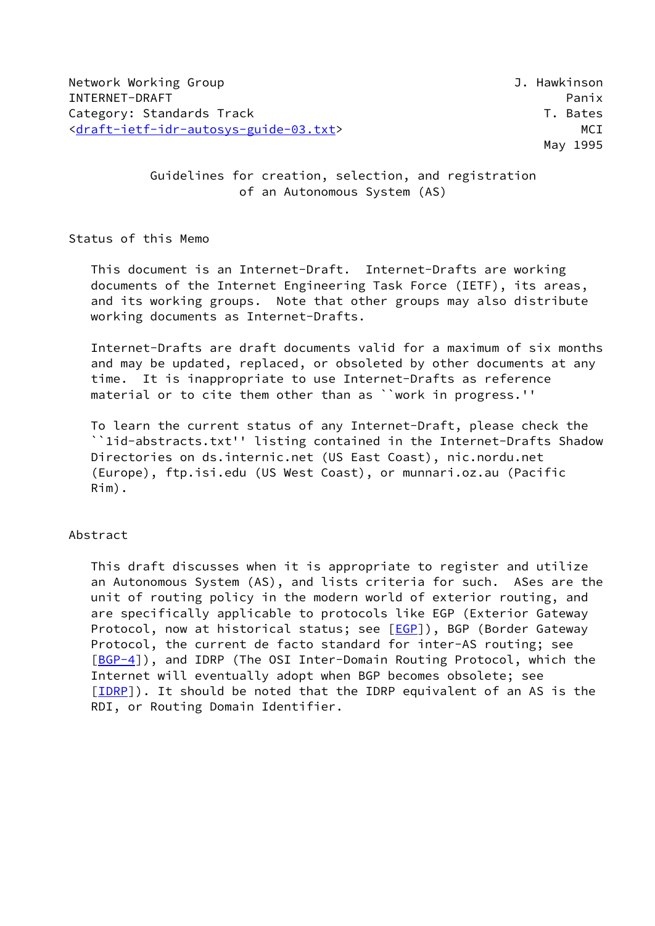# Guidelines for creation, selection, and registration of an Autonomous System (AS)

Status of this Memo

 This document is an Internet-Draft. Internet-Drafts are working documents of the Internet Engineering Task Force (IETF), its areas, and its working groups. Note that other groups may also distribute working documents as Internet-Drafts.

 Internet-Drafts are draft documents valid for a maximum of six months and may be updated, replaced, or obsoleted by other documents at any time. It is inappropriate to use Internet-Drafts as reference material or to cite them other than as ``work in progress.''

 To learn the current status of any Internet-Draft, please check the ``1id-abstracts.txt'' listing contained in the Internet-Drafts Shadow Directories on ds.internic.net (US East Coast), nic.nordu.net (Europe), ftp.isi.edu (US West Coast), or munnari.oz.au (Pacific Rim).

# Abstract

 This draft discusses when it is appropriate to register and utilize an Autonomous System (AS), and lists criteria for such. ASes are the unit of routing policy in the modern world of exterior routing, and are specifically applicable to protocols like EGP (Exterior Gateway Protocol, now at historical status; see [\[EGP](#page-11-0)]), BGP (Border Gateway Protocol, the current de facto standard for inter-AS routing; see [\[BGP-4](#page-11-1)]), and IDRP (The OSI Inter-Domain Routing Protocol, which the Internet will eventually adopt when BGP becomes obsolete; see [\[IDRP](#page-11-2)]). It should be noted that the IDRP equivalent of an AS is the RDI, or Routing Domain Identifier.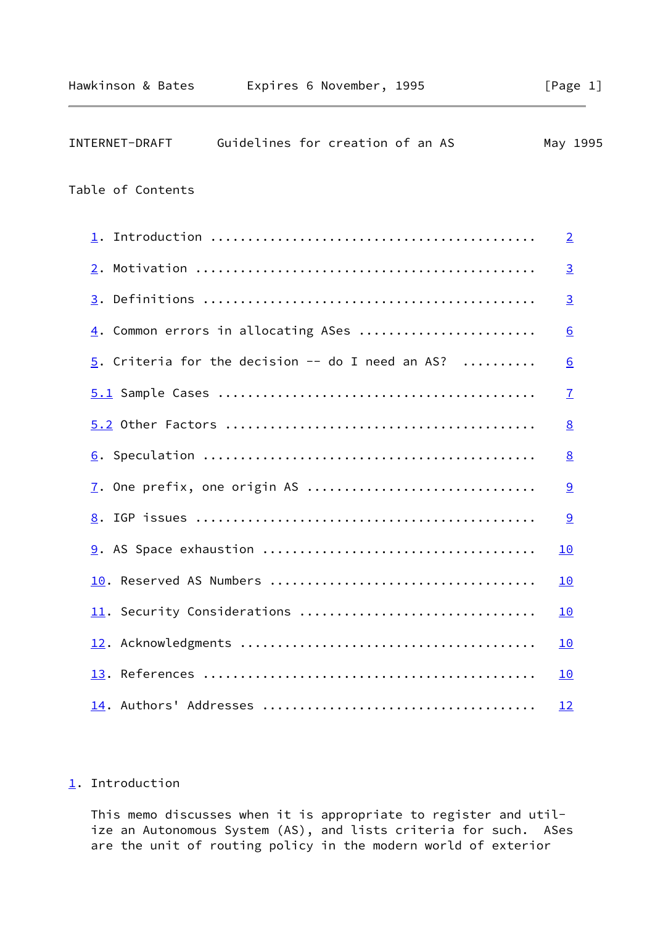<span id="page-1-1"></span>

| INTERNET-DRAFT    | Guidelines for creation of an AS                   | May 1995         |  |
|-------------------|----------------------------------------------------|------------------|--|
| Table of Contents |                                                    |                  |  |
| 1.                |                                                    | $\overline{2}$   |  |
|                   |                                                    | $\overline{3}$   |  |
|                   |                                                    | $\overline{3}$   |  |
|                   | $\underline{4}$ . Common errors in allocating ASes | $\underline{6}$  |  |
|                   | 5. Criteria for the decision $-$ do I need an AS?  | $6 \overline{6}$ |  |
|                   |                                                    | $\mathbf{I}$     |  |
|                   |                                                    | $\underline{8}$  |  |
|                   |                                                    | $\underline{8}$  |  |
|                   |                                                    | 9                |  |
|                   |                                                    | 9                |  |
|                   |                                                    | <u>10</u>        |  |
|                   |                                                    | <u>10</u>        |  |
|                   | 11. Security Considerations                        | 10               |  |
|                   |                                                    | <u>10</u>        |  |
|                   |                                                    | <u> 10</u>       |  |
|                   |                                                    | <u>12</u>        |  |

# <span id="page-1-0"></span>[1](#page-1-0). Introduction

 This memo discusses when it is appropriate to register and util ize an Autonomous System (AS), and lists criteria for such. ASes are the unit of routing policy in the modern world of exterior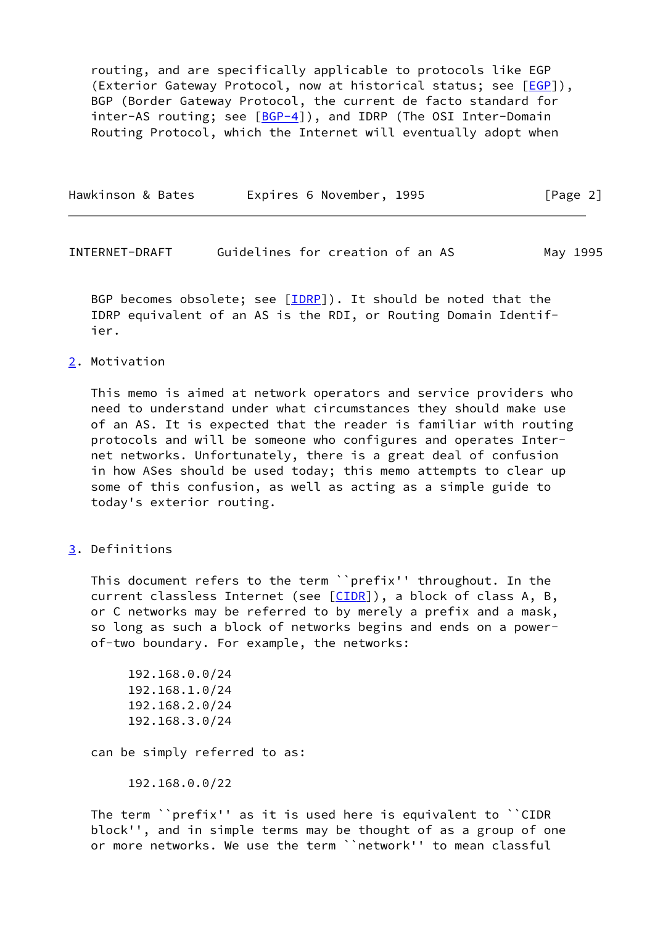routing, and are specifically applicable to protocols like EGP (Exterior Gateway Protocol, now at historical status; see [[EGP](#page-11-0)]), BGP (Border Gateway Protocol, the current de facto standard for inter-AS routing; see [[BGP-4\]](#page-11-1)), and IDRP (The OSI Inter-Domain Routing Protocol, which the Internet will eventually adopt when

| Hawkinson & Bates | Expires 6 November, 1995 | [Page 2] |
|-------------------|--------------------------|----------|
|                   |                          |          |

<span id="page-2-1"></span>INTERNET-DRAFT Guidelines for creation of an AS May 1995

BGP becomes obsolete; see  $[IDRP]$ ). It should be noted that the IDRP equivalent of an AS is the RDI, or Routing Domain Identif ier.

# <span id="page-2-0"></span>[2](#page-2-0). Motivation

 This memo is aimed at network operators and service providers who need to understand under what circumstances they should make use of an AS. It is expected that the reader is familiar with routing protocols and will be someone who configures and operates Inter net networks. Unfortunately, there is a great deal of confusion in how ASes should be used today; this memo attempts to clear up some of this confusion, as well as acting as a simple guide to today's exterior routing.

<span id="page-2-2"></span>[3](#page-2-2). Definitions

 This document refers to the term ``prefix'' throughout. In the current classless Internet (see [\[CIDR](#page-11-3)]), a block of class A, B, or C networks may be referred to by merely a prefix and a mask, so long as such a block of networks begins and ends on a power of-two boundary. For example, the networks:

 192.168.0.0/24 192.168.1.0/24 192.168.2.0/24 192.168.3.0/24

can be simply referred to as:

192.168.0.0/22

 The term ``prefix'' as it is used here is equivalent to ``CIDR block'', and in simple terms may be thought of as a group of one or more networks. We use the term ``network'' to mean classful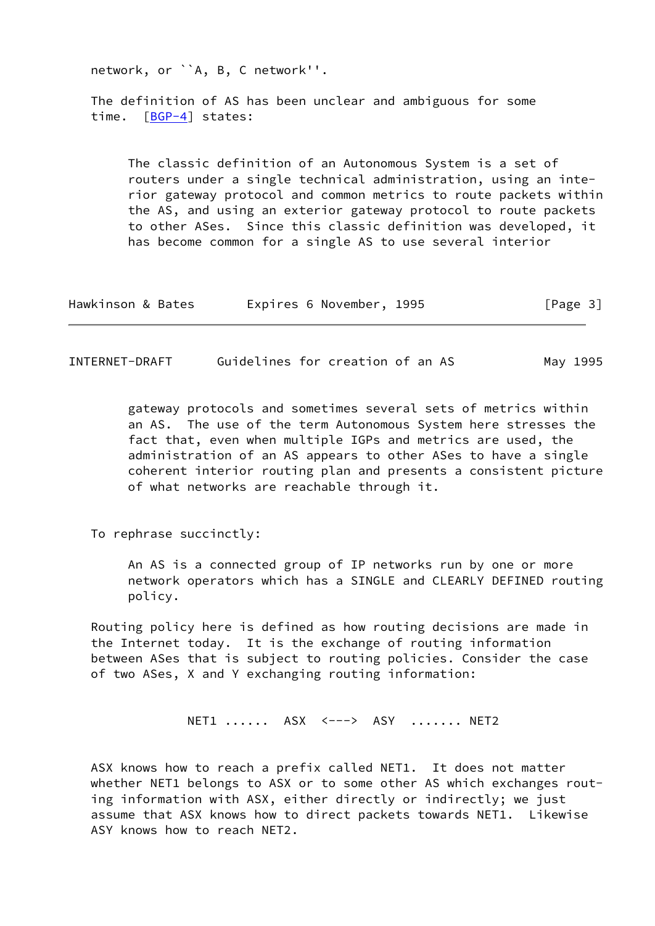network, or ``A, B, C network''. The definition of AS has been unclear and ambiguous for some time. [\[BGP-4](#page-11-1)] states: The classic definition of an Autonomous System is a set of routers under a single technical administration, using an inte rior gateway protocol and common metrics to route packets within the AS, and using an exterior gateway protocol to route packets to other ASes. Since this classic definition was developed, it has become common for a single AS to use several interior

| Expires 6 November, 1995<br>Hawkinson & Bates | [Page 3] |
|-----------------------------------------------|----------|
|-----------------------------------------------|----------|

INTERNET-DRAFT Guidelines for creation of an AS May 1995

 gateway protocols and sometimes several sets of metrics within an AS. The use of the term Autonomous System here stresses the fact that, even when multiple IGPs and metrics are used, the administration of an AS appears to other ASes to have a single coherent interior routing plan and presents a consistent picture of what networks are reachable through it.

To rephrase succinctly:

 An AS is a connected group of IP networks run by one or more network operators which has a SINGLE and CLEARLY DEFINED routing policy.

 Routing policy here is defined as how routing decisions are made in the Internet today. It is the exchange of routing information between ASes that is subject to routing policies. Consider the case of two ASes, X and Y exchanging routing information:

NET1 ...... ASX <---> ASY ....... NET2

 ASX knows how to reach a prefix called NET1. It does not matter whether NET1 belongs to ASX or to some other AS which exchanges rout ing information with ASX, either directly or indirectly; we just assume that ASX knows how to direct packets towards NET1. Likewise ASY knows how to reach NET2.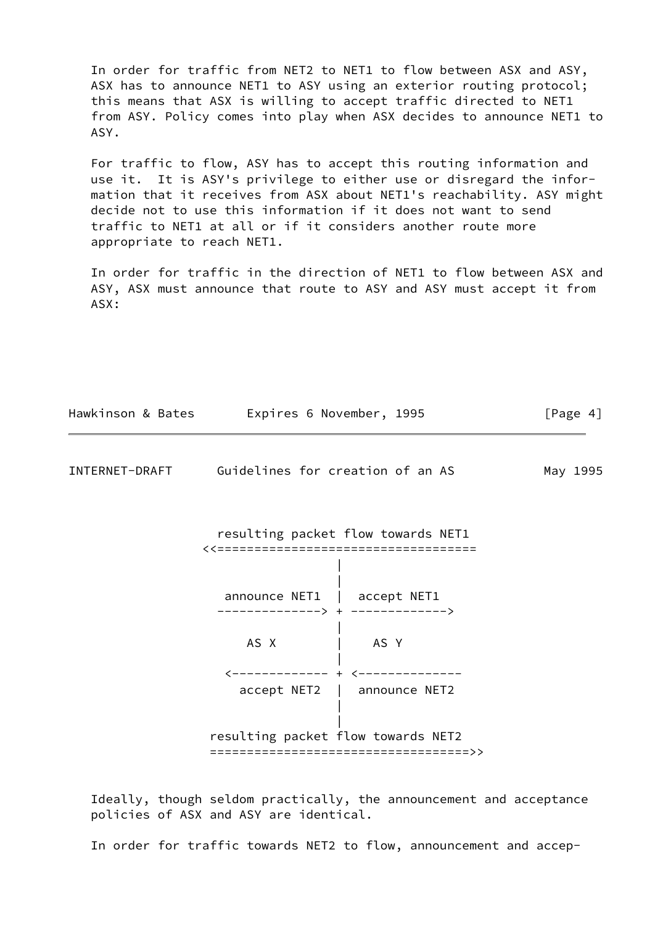In order for traffic from NET2 to NET1 to flow between ASX and ASY, ASX has to announce NET1 to ASY using an exterior routing protocol; this means that ASX is willing to accept traffic directed to NET1 from ASY. Policy comes into play when ASX decides to announce NET1 to ASY.

 For traffic to flow, ASY has to accept this routing information and use it. It is ASY's privilege to either use or disregard the infor mation that it receives from ASX about NET1's reachability. ASY might decide not to use this information if it does not want to send traffic to NET1 at all or if it considers another route more appropriate to reach NET1.

 In order for traffic in the direction of NET1 to flow between ASX and ASY, ASX must announce that route to ASY and ASY must accept it from ASX:

| Hawkinson & Bates Expires 6 November, 1995      |                                                                              | [Page 4] |
|-------------------------------------------------|------------------------------------------------------------------------------|----------|
| INTERNET-DRAFT Guidelines for creation of an AS |                                                                              | May 1995 |
|                                                 | resulting packet flow towards NET1<br><<==================================== |          |
| announce NET1   accept NET1                     | -------------> + -------------->                                             |          |
| AS X                                            | AS Y                                                                         |          |
| $\zeta$ ------------ + $\zeta$ -                | accept NET2   announce NET2                                                  |          |
| resulting packet flow towards NET2              | =====================================>>                                      |          |

 Ideally, though seldom practically, the announcement and acceptance policies of ASX and ASY are identical.

In order for traffic towards NET2 to flow, announcement and accep-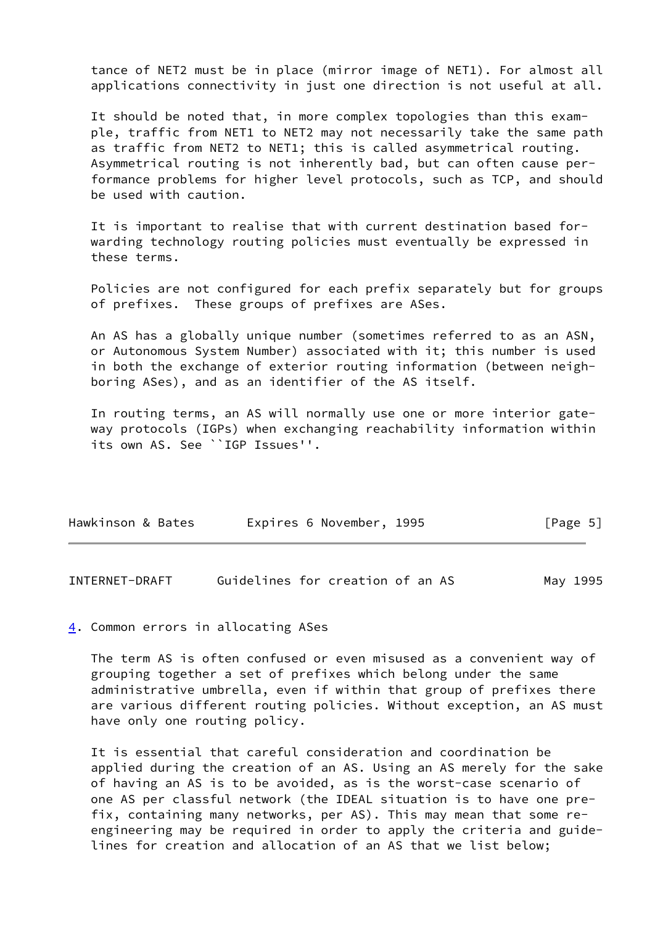tance of NET2 must be in place (mirror image of NET1). For almost all applications connectivity in just one direction is not useful at all.

 It should be noted that, in more complex topologies than this exam ple, traffic from NET1 to NET2 may not necessarily take the same path as traffic from NET2 to NET1; this is called asymmetrical routing. Asymmetrical routing is not inherently bad, but can often cause per formance problems for higher level protocols, such as TCP, and should be used with caution.

 It is important to realise that with current destination based for warding technology routing policies must eventually be expressed in these terms.

 Policies are not configured for each prefix separately but for groups of prefixes. These groups of prefixes are ASes.

 An AS has a globally unique number (sometimes referred to as an ASN, or Autonomous System Number) associated with it; this number is used in both the exchange of exterior routing information (between neigh boring ASes), and as an identifier of the AS itself.

 In routing terms, an AS will normally use one or more interior gate way protocols (IGPs) when exchanging reachability information within its own AS. See ``IGP Issues''.

| Hawkinson & Bates | Expires 6 November, 1995 | [Page 5] |
|-------------------|--------------------------|----------|
|                   |                          |          |

<span id="page-5-1"></span>INTERNET-DRAFT Guidelines for creation of an AS May 1995

### <span id="page-5-0"></span>[4](#page-5-0). Common errors in allocating ASes

 The term AS is often confused or even misused as a convenient way of grouping together a set of prefixes which belong under the same administrative umbrella, even if within that group of prefixes there are various different routing policies. Without exception, an AS must have only one routing policy.

 It is essential that careful consideration and coordination be applied during the creation of an AS. Using an AS merely for the sake of having an AS is to be avoided, as is the worst-case scenario of one AS per classful network (the IDEAL situation is to have one pre fix, containing many networks, per AS). This may mean that some re engineering may be required in order to apply the criteria and guide lines for creation and allocation of an AS that we list below;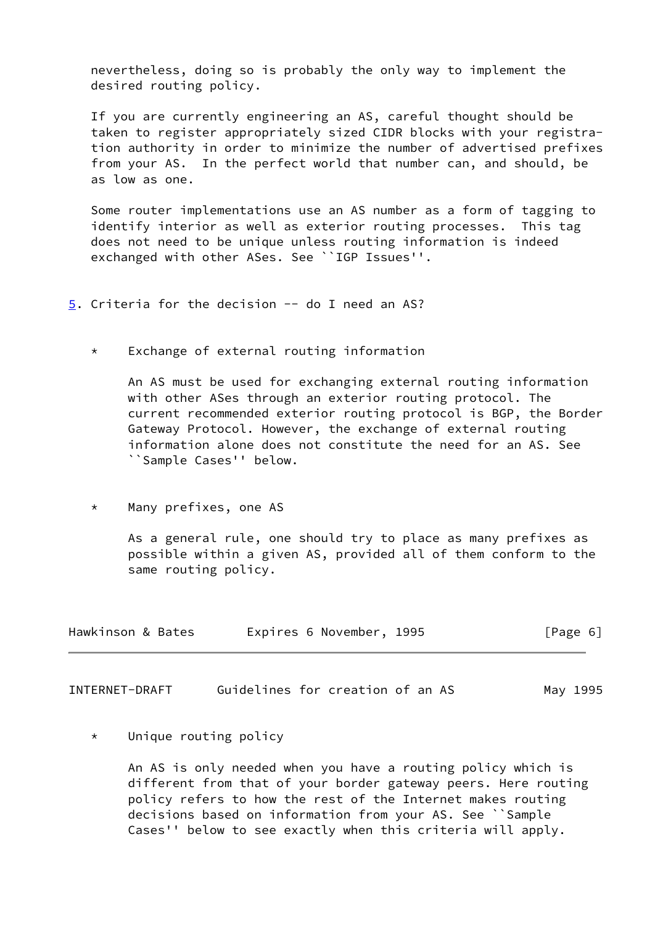nevertheless, doing so is probably the only way to implement the desired routing policy.

 If you are currently engineering an AS, careful thought should be taken to register appropriately sized CIDR blocks with your registra tion authority in order to minimize the number of advertised prefixes from your AS. In the perfect world that number can, and should, be as low as one.

 Some router implementations use an AS number as a form of tagging to identify interior as well as exterior routing processes. This tag does not need to be unique unless routing information is indeed exchanged with other ASes. See ``IGP Issues''.

<span id="page-6-0"></span>[5](#page-6-0). Criteria for the decision -- do I need an AS?

Exchange of external routing information

 An AS must be used for exchanging external routing information with other ASes through an exterior routing protocol. The current recommended exterior routing protocol is BGP, the Border Gateway Protocol. However, the exchange of external routing information alone does not constitute the need for an AS. See ``Sample Cases'' below.

\* Many prefixes, one AS

 As a general rule, one should try to place as many prefixes as possible within a given AS, provided all of them conform to the same routing policy.

| Hawkinson & Bates | Expires 6 November, 1995 | [Page 6] |
|-------------------|--------------------------|----------|
|-------------------|--------------------------|----------|

<span id="page-6-1"></span>INTERNET-DRAFT Guidelines for creation of an AS May 1995

\* Unique routing policy

 An AS is only needed when you have a routing policy which is different from that of your border gateway peers. Here routing policy refers to how the rest of the Internet makes routing decisions based on information from your AS. See ``Sample Cases'' below to see exactly when this criteria will apply.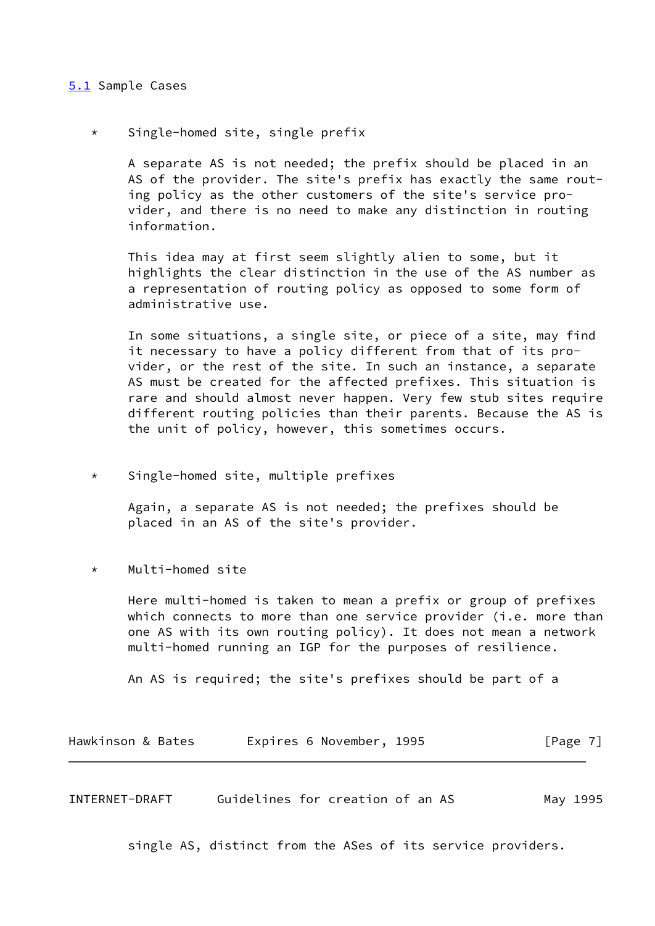# <span id="page-7-0"></span>[5.1](#page-7-0) Sample Cases

\* Single-homed site, single prefix

 A separate AS is not needed; the prefix should be placed in an AS of the provider. The site's prefix has exactly the same rout ing policy as the other customers of the site's service pro vider, and there is no need to make any distinction in routing information.

 This idea may at first seem slightly alien to some, but it highlights the clear distinction in the use of the AS number as a representation of routing policy as opposed to some form of administrative use.

 In some situations, a single site, or piece of a site, may find it necessary to have a policy different from that of its pro vider, or the rest of the site. In such an instance, a separate AS must be created for the affected prefixes. This situation is rare and should almost never happen. Very few stub sites require different routing policies than their parents. Because the AS is the unit of policy, however, this sometimes occurs.

\* Single-homed site, multiple prefixes

 Again, a separate AS is not needed; the prefixes should be placed in an AS of the site's provider.

\* Multi-homed site

 Here multi-homed is taken to mean a prefix or group of prefixes which connects to more than one service provider (i.e. more than one AS with its own routing policy). It does not mean a network multi-homed running an IGP for the purposes of resilience.

An AS is required; the site's prefixes should be part of a

| Hawkinson & Bates | Expires 6 November, 1995 | [Page 7] |
|-------------------|--------------------------|----------|
|-------------------|--------------------------|----------|

<span id="page-7-1"></span>INTERNET-DRAFT Guidelines for creation of an AS May 1995

single AS, distinct from the ASes of its service providers.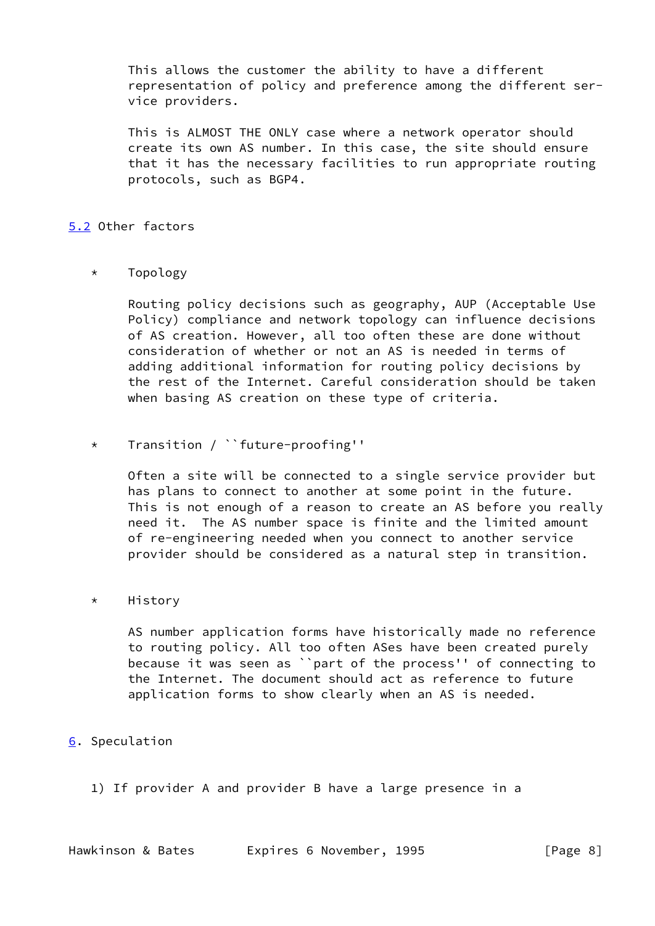This allows the customer the ability to have a different representation of policy and preference among the different ser vice providers.

 This is ALMOST THE ONLY case where a network operator should create its own AS number. In this case, the site should ensure that it has the necessary facilities to run appropriate routing protocols, such as BGP4.

# <span id="page-8-0"></span>[5.2](#page-8-0) Other factors

# \* Topology

 Routing policy decisions such as geography, AUP (Acceptable Use Policy) compliance and network topology can influence decisions of AS creation. However, all too often these are done without consideration of whether or not an AS is needed in terms of adding additional information for routing policy decisions by the rest of the Internet. Careful consideration should be taken when basing AS creation on these type of criteria.

# \* Transition / ``future-proofing''

 Often a site will be connected to a single service provider but has plans to connect to another at some point in the future. This is not enough of a reason to create an AS before you really need it. The AS number space is finite and the limited amount of re-engineering needed when you connect to another service provider should be considered as a natural step in transition.

# \* History

 AS number application forms have historically made no reference to routing policy. All too often ASes have been created purely because it was seen as ``part of the process'' of connecting to the Internet. The document should act as reference to future application forms to show clearly when an AS is needed.

# <span id="page-8-1"></span>[6](#page-8-1). Speculation

1) If provider A and provider B have a large presence in a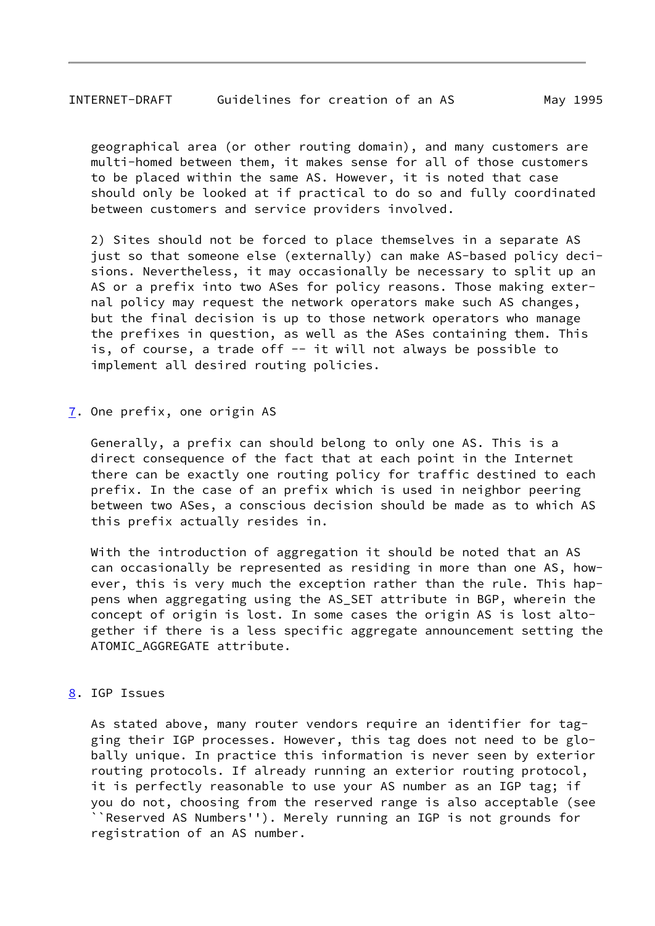<span id="page-9-1"></span> geographical area (or other routing domain), and many customers are multi-homed between them, it makes sense for all of those customers to be placed within the same AS. However, it is noted that case should only be looked at if practical to do so and fully coordinated between customers and service providers involved.

 2) Sites should not be forced to place themselves in a separate AS just so that someone else (externally) can make AS-based policy deci sions. Nevertheless, it may occasionally be necessary to split up an AS or a prefix into two ASes for policy reasons. Those making exter nal policy may request the network operators make such AS changes, but the final decision is up to those network operators who manage the prefixes in question, as well as the ASes containing them. This is, of course, a trade off -- it will not always be possible to implement all desired routing policies.

<span id="page-9-0"></span>[7](#page-9-0). One prefix, one origin AS

 Generally, a prefix can should belong to only one AS. This is a direct consequence of the fact that at each point in the Internet there can be exactly one routing policy for traffic destined to each prefix. In the case of an prefix which is used in neighbor peering between two ASes, a conscious decision should be made as to which AS this prefix actually resides in.

 With the introduction of aggregation it should be noted that an AS can occasionally be represented as residing in more than one AS, how ever, this is very much the exception rather than the rule. This hap pens when aggregating using the AS\_SET attribute in BGP, wherein the concept of origin is lost. In some cases the origin AS is lost alto gether if there is a less specific aggregate announcement setting the ATOMIC AGGREGATE attribute.

<span id="page-9-2"></span>[8](#page-9-2). IGP Issues

 As stated above, many router vendors require an identifier for tag ging their IGP processes. However, this tag does not need to be glo bally unique. In practice this information is never seen by exterior routing protocols. If already running an exterior routing protocol, it is perfectly reasonable to use your AS number as an IGP tag; if you do not, choosing from the reserved range is also acceptable (see ``Reserved AS Numbers''). Merely running an IGP is not grounds for registration of an AS number.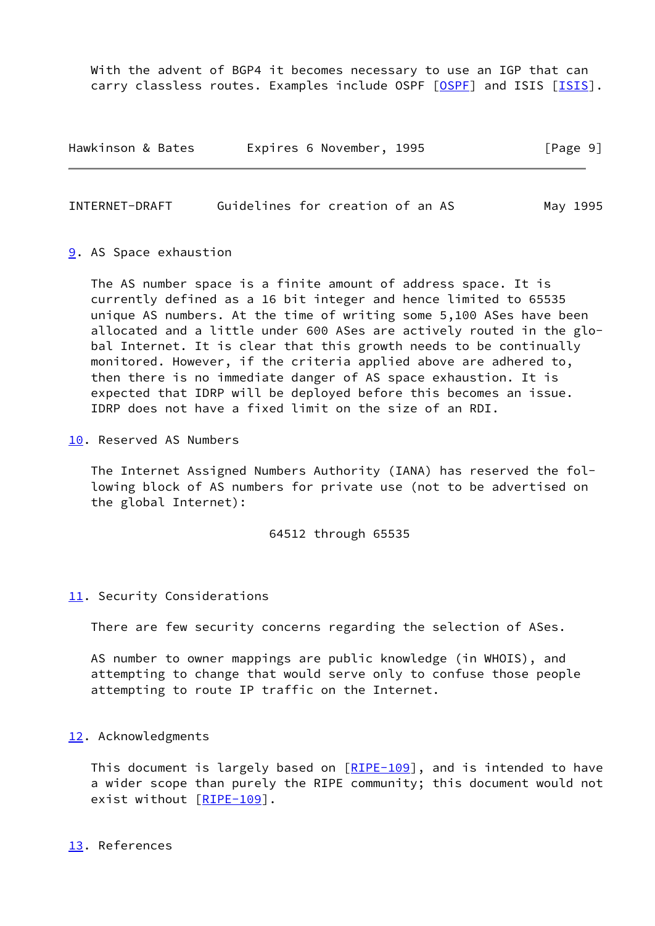With the advent of BGP4 it becomes necessary to use an IGP that can carry classless routes. Examples include OSPF [[OSPF\]](#page-11-4) and ISIS [[ISIS\]](#page-11-5).

| Hawkinson & Bates | Expires 6 November, 1995 |  | [Page 9] |
|-------------------|--------------------------|--|----------|
|-------------------|--------------------------|--|----------|

<span id="page-10-1"></span>INTERNET-DRAFT Guidelines for creation of an AS May 1995

#### <span id="page-10-0"></span>[9](#page-10-0). AS Space exhaustion

 The AS number space is a finite amount of address space. It is currently defined as a 16 bit integer and hence limited to 65535 unique AS numbers. At the time of writing some 5,100 ASes have been allocated and a little under 600 ASes are actively routed in the glo bal Internet. It is clear that this growth needs to be continually monitored. However, if the criteria applied above are adhered to, then there is no immediate danger of AS space exhaustion. It is expected that IDRP will be deployed before this becomes an issue. IDRP does not have a fixed limit on the size of an RDI.

<span id="page-10-2"></span>[10.](#page-10-2) Reserved AS Numbers

 The Internet Assigned Numbers Authority (IANA) has reserved the fol lowing block of AS numbers for private use (not to be advertised on the global Internet):

#### 64512 through 65535

#### <span id="page-10-3"></span>[11.](#page-10-3) Security Considerations

There are few security concerns regarding the selection of ASes.

 AS number to owner mappings are public knowledge (in WHOIS), and attempting to change that would serve only to confuse those people attempting to route IP traffic on the Internet.

### <span id="page-10-4"></span>[12.](#page-10-4) Acknowledgments

 This document is largely based on [[RIPE-109\]](#page-11-6), and is intended to have a wider scope than purely the RIPE community; this document would not exist without [[RIPE-109\]](#page-11-6).

#### <span id="page-10-5"></span>[13.](#page-10-5) References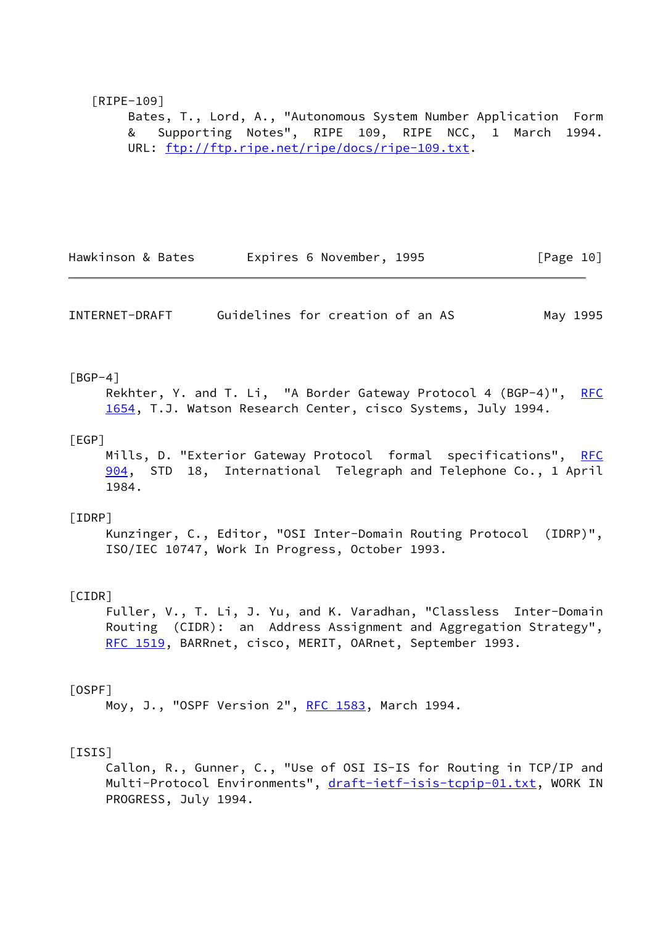# <span id="page-11-6"></span> [RIPE-109] Bates, T., Lord, A., "Autonomous System Number Application Form & Supporting Notes", RIPE 109, RIPE NCC, 1 March 1994. URL: [ftp://ftp.ripe.net/ripe/docs/ripe-109.txt.](ftp://ftp.ripe.net/ripe/docs/ripe-109.txt)

Hawkinson & Bates **Expires 6 November, 1995** [Page 10]

INTERNET-DRAFT Guidelines for creation of an AS May 1995

### <span id="page-11-1"></span> $[BGP-4]$

Rekhter, Y. and T. Li, "A Border Gateway Protocol 4 (BGP-4)", [RFC](https://datatracker.ietf.org/doc/pdf/rfc1654) [1654](https://datatracker.ietf.org/doc/pdf/rfc1654), T.J. Watson Research Center, cisco Systems, July 1994.

# <span id="page-11-0"></span>[EGP]

Mills, D. "Exterior Gateway Protocol formal specifications", [RFC](https://datatracker.ietf.org/doc/pdf/rfc904) [904](https://datatracker.ietf.org/doc/pdf/rfc904), STD 18, International Telegraph and Telephone Co., 1 April 1984.

#### <span id="page-11-2"></span>[IDRP]

 Kunzinger, C., Editor, "OSI Inter-Domain Routing Protocol (IDRP)", ISO/IEC 10747, Work In Progress, October 1993.

# <span id="page-11-3"></span>[CIDR]

 Fuller, V., T. Li, J. Yu, and K. Varadhan, "Classless Inter-Domain Routing (CIDR): an Address Assignment and Aggregation Strategy", [RFC 1519](https://datatracker.ietf.org/doc/pdf/rfc1519), BARRnet, cisco, MERIT, OARnet, September 1993.

#### <span id="page-11-4"></span>[OSPF]

Moy, J., "OSPF Version 2", [RFC 1583](https://datatracker.ietf.org/doc/pdf/rfc1583), March 1994.

### <span id="page-11-5"></span>[ISIS]

 Callon, R., Gunner, C., "Use of OSI IS-IS for Routing in TCP/IP and Multi-Protocol Environments", [draft-ietf-isis-tcpip-01.txt](https://datatracker.ietf.org/doc/pdf/draft-ietf-isis-tcpip-01.txt), WORK IN PROGRESS, July 1994.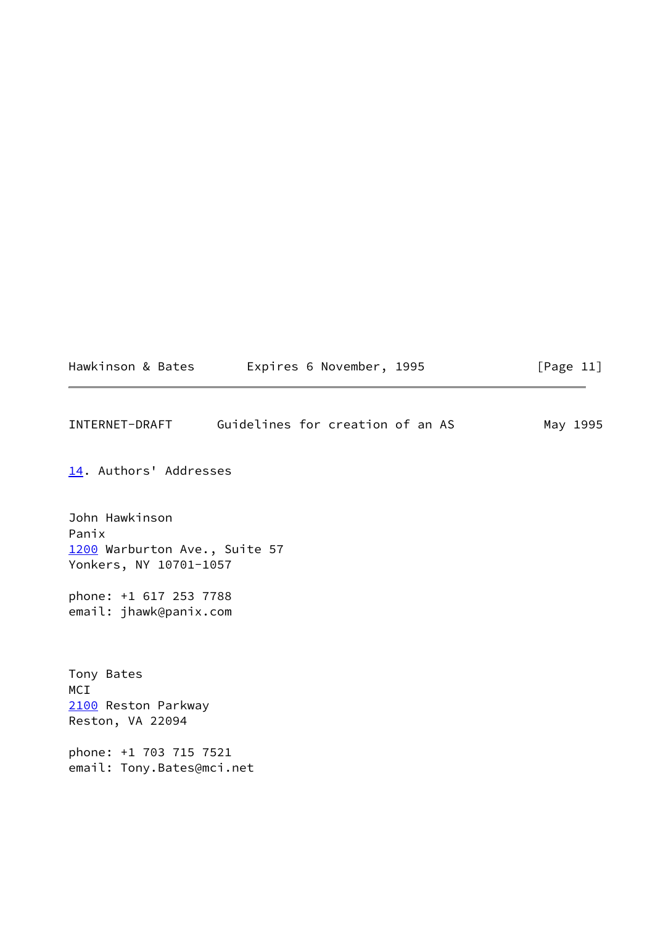| Hawkinson & Bates | Expires 6 November, 1995 |  | [Page 11] |
|-------------------|--------------------------|--|-----------|
|-------------------|--------------------------|--|-----------|

<span id="page-12-1"></span>INTERNET-DRAFT Guidelines for creation of an AS May 1995

<span id="page-12-0"></span>[14.](#page-12-0) Authors' Addresses

<span id="page-12-2"></span>John Hawkinson Panix [1200](#page-12-2) Warburton Ave., Suite 57 Yonkers, NY 10701-1057

phone: +1 617 253 7788 email: jhawk@panix.com

<span id="page-12-3"></span>Tony Bates MCI [2100](#page-12-3) Reston Parkway Reston, VA 22094

phone: +1 703 715 7521 email: Tony.Bates@mci.net